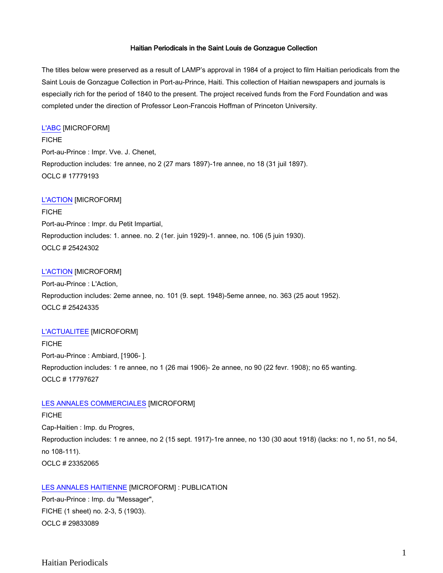## Haitian Periodicals in the Saint Louis de Gonzague Collection

The titles below were preserved as a result of LAMP's approval in 1984 of a project to film Haitian periodicals from the Saint Louis de Gonzague Collection in Port-au-Prince, Haiti. This collection of Haitian newspapers and journals is especially rich for the period of 1840 to the present. The project received funds from the Ford Foundation and was completed under the direction of Professor Leon-Francois Hoffman of Princeton University.

#### [L'ABC](http://catalog.crl.edu/record=b1089938~S1) [MICROFORM]

FICHE Port-au-Prince : Impr. Vve. J. Chenet, Reproduction includes: 1re annee, no 2 (27 mars 1897)-1re annee, no 18 (31 juil 1897). OCLC # 17779193

## [L'ACTION](http://catalog.crl.edu/record=b1166756~S1) [MICROFORM]

FICHE Port-au-Prince : Impr. du Petit Impartial, Reproduction includes: 1. annee. no. 2 (1er. juin 1929)-1. annee, no. 106 (5 juin 1930). OCLC # 25424302

#### [L'ACTION](http://catalog.crl.edu/record=b1166757~S1) [MICROFORM]

Port-au-Prince : L'Action, Reproduction includes: 2eme annee, no. 101 (9. sept. 1948)-5eme annee, no. 363 (25 aout 1952). OCLC # 25424335

#### [L'ACTUALITEE](http://catalog.crl.edu/record=b1090180~S1) [MICROFORM]

FICHE Port-au-Prince : Ambiard, [1906- ]. Reproduction includes: 1 re annee, no 1 (26 mai 1906)- 2e annee, no 90 (22 fevr. 1908); no 65 wanting. OCLC # 17797627

# [LES ANNALES COMMERCIALES](http://catalog.crl.edu/record=b1145014~S1) [MICROFORM]

#### FICHE

Cap-Haitien : Imp. du Progres, Reproduction includes: 1 re annee, no 2 (15 sept. 1917)-1re annee, no 130 (30 aout 1918) (lacks: no 1, no 51, no 54, no 108-111). OCLC # 23352065

# [LES ANNALES HAITIENNE](http://catalog.crl.edu/record=b1391863~S1) [MICROFORM] : PUBLICATION Port-au-Prince : Imp. du "Messager",

FICHE (1 sheet) no. 2-3, 5 (1903). OCLC # 29833089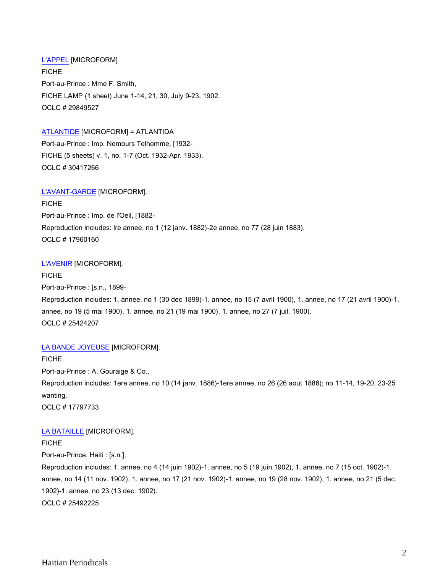# [L'APPEL](http://catalog.crl.edu/record=b1391995~S1) [MICROFORM]

FICHE Port-au-Prince : Mme F. Smith, FICHE LAMP (1 sheet) June 1-14, 21, 30, July 9-23, 1902. OCLC # 29849527

# [ATLANTIDE](http://catalog.crl.edu/record=b1398862~S1) [MICROFORM] = ATLANTIDA

Port-au-Prince : Imp. Nemours Telhomme, [1932- FICHE (5 sheets) v. 1, no. 1-7 (Oct. 1932-Apr. 1933). OCLC # 30417266

#### [L'AVANT-GARDE](http://catalog.crl.edu/record=b1093542~S1) [MICROFORM].

FICHE Port-au-Prince : Imp. de l'Oeil, [1882- Reproduction includes: lre annee, no 1 (12 janv. 1882)-2e annee, no 77 (28 juin 1883). OCLC # 17960160

#### [L'AVENIR](http://catalog.crl.edu/record=b1166761~S1) [MICROFORM].

FICHE Port-au-Prince : [s.n., 1899- Reproduction includes: 1. annee, no 1 (30 dec 1899)-1. annee, no 15 (7 avril 1900), 1. annee, no 17 (21 avril 1900)-1. annee, no 19 (5 mai 1900), 1. annee, no 21 (19 mai 1900), 1. annee, no 27 (7 juil. 1900). OCLC # 25424207

#### [LA BANDE JOYEUSE](http://catalog.crl.edu/record=b1090179~S1) [MICROFORM].

FICHE Port-au-Prince : A. Gouraige & Co., Reproduction includes: 1ere annee, no 10 (14 janv. 1886)-1ere annee, no 26 (26 aout 1886); no 11-14, 19-20, 23-25 wanting. OCLC # 17797733

#### [LA BATAILLE](http://catalog.crl.edu/record=b1167946~S1) [MICROFORM].

## FICHE

Port-au-Prince, Haiti : [s.n.],

Reproduction includes: 1. annee, no 4 (14 juin 1902)-1. annee, no 5 (19 juin 1902), 1. annee, no 7 (15 oct. 1902)-1. annee, no 14 (11 nov. 1902), 1. annee, no 17 (21 nov. 1902)-1. annee, no 19 (28 nov. 1902), 1. annee, no 21 (5 dec. 1902)-1. annee, no 23 (13 dec. 1902). OCLC # 25492225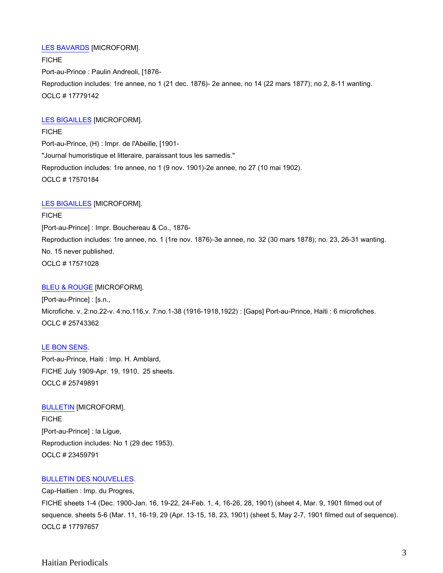## [LES BAVARDS](http://catalog.crl.edu/record=b1089937~S1) [MICROFORM].

FICHE Port-au-Prince : Paulin Andreoli, [1876- Reproduction includes: 1re annee, no 1 (21 dec. 1876)- 2e annee, no 14 (22 mars 1877); no 2, 8-11 wanting. OCLC # 17779142

## [LES BIGAILLES](http://catalog.crl.edu/record=b1087934~S1) [MICROFORM].

FICHE Port-au-Prince, (H) : Impr. de l'Abeille, [1901- "Journal humoristique et litteraire, paraissant tous les samedis." Reproduction includes: 1re annee, no 1 (9 nov. 1901)-2e annee, no 27 (10 mai 1902). OCLC # 17570184

## [LES BIGAILLES](http://catalog.crl.edu/record=b1087940~S1) [MICROFORM].

FICHE [Port-au-Prince] : Impr. Bouchereau & Co., 1876- Reproduction includes: 1re annee, no. 1 (1re nov. 1876)-3e annee, no. 32 (30 mars 1878); no. 23, 26-31 wanting. No. 15 never published. OCLC # 17571028

## [BLEU & ROUGE](http://catalog.crl.edu/record=b1169197~S1) [MICROFORM].

[Port-au-Prince] : [s.n., Microfiche. v. 2:no.22-v. 4:no.116,v. 7:no.1-38 (1916-1918,1922) : [Gaps] Port-au-Prince, Haiti : 6 microfiches. OCLC # 25743362

# [LE BON SENS.](http://catalog.crl.edu/record=b1169206~S1)

Port-au-Prince, Haiti : Imp. H. Amblard, FICHE July 1909-Apr. 19, 1910. 25 sheets. OCLC # 25749891

# [BULLETIN](http://catalog.crl.edu/record=b1145120~S1) [MICROFORM].

FICHE [Port-au-Prince] : la Ligue, Reproduction includes: No 1 (29 dec 1953). OCLC # 23459791

# [BULLETIN DES NOUVELLES.](http://catalog.crl.edu/record=b1090181~S1)

Cap-Haitien : Imp. du Progres, FICHE sheets 1-4 (Dec. 1900-Jan. 16, 19-22, 24-Feb. 1, 4, 16-26, 28, 1901) (sheet 4, Mar. 9, 1901 filmed out of sequence. sheets 5-6 (Mar. 11, 16-19, 29 (Apr. 13-15, 18, 23, 1901) (sheet 5, May 2-7, 1901 filmed out of sequence). OCLC # 17797657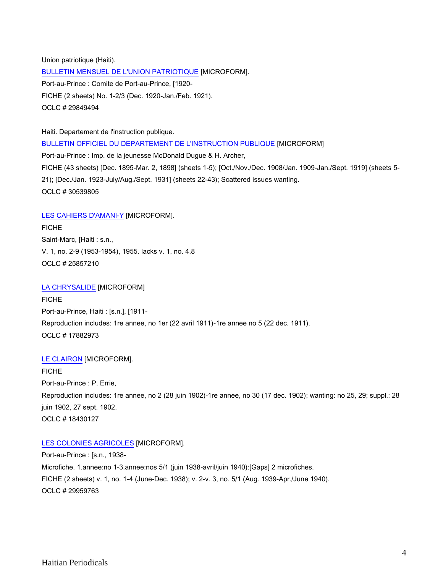Union patriotique (Haiti). [BULLETIN MENSUEL DE L'UNION PATRIOTIQUE](http://catalog.crl.edu/record=b1391992~S1) [MICROFORM]. Port-au-Prince : Comite de Port-au-Prince, [1920- FICHE (2 sheets) No. 1-2/3 (Dec. 1920-Jan./Feb. 1921). OCLC # 29849494

Haiti. Departement de l'instruction publique. [BULLETIN OFFICIEL DU DEPARTEMENT DE L'INSTRUCTION PUBLIQUE](http://catalog.crl.edu/record=b1400301~S1) [MICROFORM] Port-au-Prince : Imp. de la jeunesse McDonald Dugue & H. Archer, FICHE (43 sheets) [Dec. 1895-Mar. 2, 1898] (sheets 1-5); [Oct./Nov./Dec. 1908/Jan. 1909-Jan./Sept. 1919] (sheets 5- 21); [Dec./Jan. 1923-July/Aug./Sept. 1931] (sheets 22-43); Scattered issues wanting. OCLC # 30539805

#### [LES CAHIERS D'AMANI-Y](http://catalog.crl.edu/record=b1169387~S1) [MICROFORM].

FICHE Saint-Marc, [Haiti : s.n., V. 1, no. 2-9 (1953-1954), 1955. lacks v. 1, no. 4,8 OCLC # 25857210

# [LA CHRYSALIDE](http://catalog.crl.edu/record=b1092457~S1) [MICROFORM]

FICHE Port-au-Prince, Haiti : [s.n.], [1911- Reproduction includes: 1re annee, no 1er (22 avril 1911)-1re annee no 5 (22 dec. 1911). OCLC # 17882973

#### [LE CLAIRON](http://catalog.crl.edu/record=b1094933~S1) [MICROFORM].

FICHE Port-au-Prince : P. Errie, Reproduction includes: 1re annee, no 2 (28 juin 1902)-1re annee, no 30 (17 dec. 1902); wanting: no 25, 29; suppl.: 28 juin 1902, 27 sept. 1902. OCLC # 18430127

#### [LES COLONIES AGRICOLES](http://catalog.crl.edu/record=b1393983~S1) [MICROFORM].

Port-au-Prince : [s.n., 1938- Microfiche. 1.annee:no 1-3.annee:nos 5/1 (juin 1938-avril/juin 1940):[Gaps] 2 microfiches. FICHE (2 sheets) v. 1, no. 1-4 (June-Dec. 1938); v. 2-v. 3, no. 5/1 (Aug. 1939-Apr./June 1940). OCLC # 29959763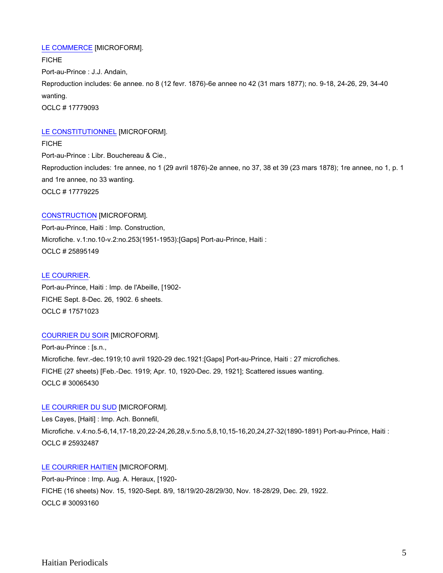# [LE COMMERCE](http://catalog.crl.edu/record=b1089936~S1) [MICROFORM].

FICHE Port-au-Prince : J.J. Andain, Reproduction includes: 6e annee. no 8 (12 fevr. 1876)-6e annee no 42 (31 mars 1877); no. 9-18, 24-26, 29, 34-40 wanting. OCLC # 17779093

# [LE CONSTITUTIONNEL](http://catalog.crl.edu/record=b1089939~S1) [MICROFORM].

FICHE Port-au-Prince : Libr. Bouchereau & Cie., Reproduction includes: 1re annee, no 1 (29 avril 1876)-2e annee, no 37, 38 et 39 (23 mars 1878); 1re annee, no 1, p. 1 and 1re annee, no 33 wanting. OCLC # 17779225

# [CONSTRUCTION](http://catalog.crl.edu/record=b1169298~S1) [MICROFORM].

Port-au-Prince, Haiti : Imp. Construction, Microfiche. v.1:no.10-v.2:no.253(1951-1953):[Gaps] Port-au-Prince, Haiti : OCLC # 25895149

# [LE COURRIER.](http://catalog.crl.edu/record=b1087938~S1)

Port-au-Prince, Haiti : Imp. de l'Abeille, [1902- FICHE Sept. 8-Dec. 26, 1902. 6 sheets. OCLC # 17571023

# [COURRIER DU SOIR](http://catalog.crl.edu/record=b1395643~S1) [MICROFORM].

Port-au-Prince : [s.n., Microfiche. fevr.-dec.1919;10 avril 1920-29 dec.1921:[Gaps] Port-au-Prince, Haiti : 27 microfiches. FICHE (27 sheets) [Feb.-Dec. 1919; Apr. 10, 1920-Dec. 29, 1921]; Scattered issues wanting. OCLC # 30065430

# [LE COURRIER DU SUD](http://catalog.crl.edu/record=b1164807~S1) [MICROFORM].

Les Cayes, [Haiti] : Imp. Ach. Bonnefil, Microfiche. v.4:no.5-6,14,17-18,20,22-24,26,28,v.5:no.5,8,10,15-16,20,24,27-32(1890-1891) Port-au-Prince, Haiti : OCLC # 25932487

# [LE COURRIER HAITIEN](http://catalog.crl.edu/record=b1395918~S1) [MICROFORM].

Port-au-Prince : Imp. Aug. A. Heraux, [1920- FICHE (16 sheets) Nov. 15, 1920-Sept. 8/9, 18/19/20-28/29/30, Nov. 18-28/29, Dec. 29, 1922. OCLC # 30093160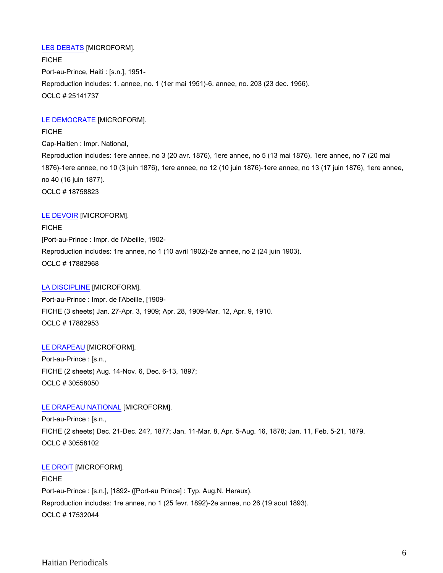# [LES DEBATS](http://catalog.crl.edu/record=b1155212~S1) [MICROFORM].

FICHE Port-au-Prince, Haiti : [s.n.], 1951- Reproduction includes: 1. annee, no. 1 (1er mai 1951)-6. annee, no. 203 (23 dec. 1956). OCLC # 25141737

# [LE DEMOCRATE](http://catalog.crl.edu/record=b1099177~S1) [MICROFORM].

FICHE Cap-Haitien : Impr. National, Reproduction includes: 1ere annee, no 3 (20 avr. 1876), 1ere annee, no 5 (13 mai 1876), 1ere annee, no 7 (20 mai 1876)-1ere annee, no 10 (3 juin 1876), 1ere annee, no 12 (10 juin 1876)-1ere annee, no 13 (17 juin 1876), 1ere annee, no 40 (16 juin 1877). OCLC # 18758823

# [LE DEVOIR](http://catalog.crl.edu/record=b1092458~S1) [MICROFORM].

FICHE [Port-au-Prince : Impr. de l'Abeille, 1902- Reproduction includes: 1re annee, no 1 (10 avril 1902)-2e annee, no 2 (24 juin 1903). OCLC # 17882968

# [LA DISCIPLINE](http://catalog.crl.edu/record=b1092456~S1) [MICROFORM].

Port-au-Prince : Impr. de l'Abeille, [1909- FICHE (3 sheets) Jan. 27-Apr. 3, 1909; Apr. 28, 1909-Mar. 12, Apr. 9, 1910. OCLC # 17882953

# [LE DRAPEAU](http://catalog.crl.edu/record=b1400386~S1) [MICROFORM].

Port-au-Prince : [s.n., FICHE (2 sheets) Aug. 14-Nov. 6, Dec. 6-13, 1897; OCLC # 30558050

# [LE DRAPEAU NATIONAL](http://catalog.crl.edu/record=b1400387~S1) [MICROFORM].

Port-au-Prince : [s.n., FICHE (2 sheets) Dec. 21-Dec. 24?, 1877; Jan. 11-Mar. 8, Apr. 5-Aug. 16, 1878; Jan. 11, Feb. 5-21, 1879. OCLC # 30558102

# [LE DROIT](http://catalog.crl.edu/record=b1086562~S1) [MICROFORM].

**FICHE** Port-au-Prince : [s.n.], [1892- ([Port-au Prince] : Typ. Aug.N. Heraux). Reproduction includes: 1re annee, no 1 (25 fevr. 1892)-2e annee, no 26 (19 aout 1893). OCLC # 17532044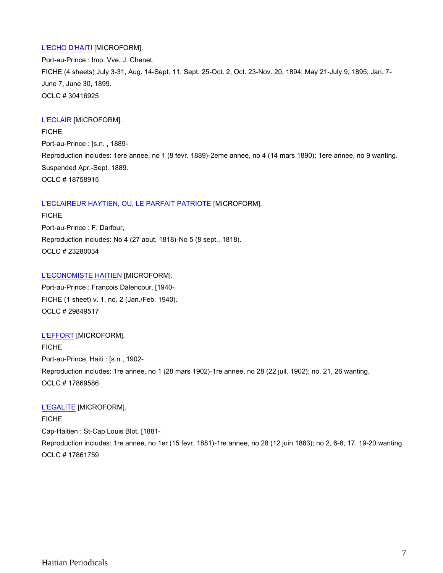# [L'ECHO D'HAITI](http://catalog.crl.edu/record=b1398842~S1) [MICROFORM].

Port-au-Prince : Imp. Vve. J. Chenet, FICHE (4 sheets) July 3-31, Aug. 14-Sept. 11, Sept. 25-Oct. 2, Oct. 23-Nov. 20, 1894; May 21-July 9, 1895; Jan. 7- June 7, June 30, 1899. OCLC # 30416925

# [L'ECLAIR](http://catalog.crl.edu/record=b1099183~S1) [MICROFORM].

FICHE Port-au-Prince : [s.n. , 1889- Reproduction includes: 1ere annee, no 1 (8 fevr. 1889)-2eme annee, no 4 (14 mars 1890); 1ere annee, no 9 wanting. Suspended Apr.-Sept. 1889. OCLC # 18758915

# [L'ECLAIREUR HAYTIEN, OU, LE PARFAIT PATRIOTE](http://catalog.crl.edu/record=b1144907~S1) [MICROFORM].

FICHE Port-au-Prince : F. Darfour, Reproduction includes: No 4 (27 aout, 1818)-No 5 (8 sept., 1818). OCLC # 23280034

# [L'ECONOMISTE HAITIEN](http://catalog.crl.edu/record=b1391994~S1) [MICROFORM].

Port-au-Prince : Francois Dalencour, [1940- FICHE (1 sheet) v. 1, no. 2 (Jan./Feb. 1940). OCLC # 29849517

# [L'EFFORT](http://catalog.crl.edu/record=b1092329~S1) [MICROFORM].

FICHE Port-au-Prince, Haiti : [s.n., 1902- Reproduction includes: 1re annee, no 1 (28 mars 1902)-1re annee, no 28 (22 juil. 1902); no. 21, 26 wanting. OCLC # 17869586

# [L'EGALITE](http://catalog.crl.edu/record=b1091267~S1) [MICROFORM].

FICHE Cap-Haitien : St-Cap Louis Blot, [1881- Reproduction includes: 1re annee, no 1er (15 fevr. 1881)-1re annee, no 28 (12 juin 1883); no 2, 6-8, 17, 19-20 wanting. OCLC # 17861759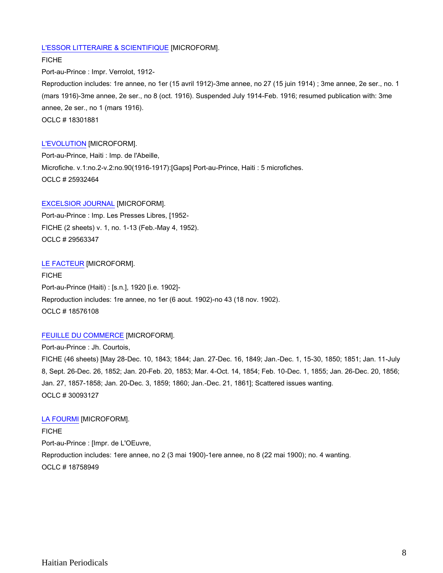## [L'ESSOR LITTERAIRE & SCIENTIFIQUE](http://catalog.crl.edu/record=b1082339~S1) [MICROFORM].

FICHE Port-au-Prince : Impr. Verrolot, 1912- Reproduction includes: 1re annee, no 1er (15 avril 1912)-3me annee, no 27 (15 juin 1914) ; 3me annee, 2e ser., no. 1 (mars 1916)-3me annee, 2e ser., no 8 (oct. 1916). Suspended July 1914-Feb. 1916; resumed publication with: 3me annee, 2e ser., no 1 (mars 1916). OCLC # 18301881

#### [L'EVOLUTION](http://catalog.crl.edu/record=b1164806~S1) [MICROFORM].

Port-au-Prince, Haiti : Imp. de l'Abeille, Microfiche. v.1:no.2-v.2:no.90(1916-1917):[Gaps] Port-au-Prince, Haiti : 5 microfiches. OCLC # 25932464

#### [EXCELSIOR JOURNAL](http://catalog.crl.edu/record=b1387957~S1) [MICROFORM].

Port-au-Prince : Imp. Les Presses Libres, [1952- FICHE (2 sheets) v. 1, no. 1-13 (Feb.-May 4, 1952). OCLC # 29563347

#### [LE FACTEUR](http://catalog.crl.edu/record=b1096900~S1) [MICROFORM].

FICHE Port-au-Prince (Haiti) : [s.n.], 1920 [i.e. 1902]- Reproduction includes: 1re annee, no 1er (6 aout. 1902)-no 43 (18 nov. 1902). OCLC # 18576108

## [FEUILLE DU COMMERCE](http://catalog.crl.edu/record=b1395917~S1) [MICROFORM].

Port-au-Prince : Jh. Courtois, FICHE (46 sheets) [May 28-Dec. 10, 1843; 1844; Jan. 27-Dec. 16, 1849; Jan.-Dec. 1, 15-30, 1850; 1851; Jan. 11-July 8, Sept. 26-Dec. 26, 1852; Jan. 20-Feb. 20, 1853; Mar. 4-Oct. 14, 1854; Feb. 10-Dec. 1, 1855; Jan. 26-Dec. 20, 1856; Jan. 27, 1857-1858; Jan. 20-Dec. 3, 1859; 1860; Jan.-Dec. 21, 1861]; Scattered issues wanting. OCLC # 30093127

#### [LA FOURMI](http://catalog.crl.edu/record=b1099171~S1) [MICROFORM].

FICHE Port-au-Prince : [Impr. de L'OEuvre, Reproduction includes: 1ere annee, no 2 (3 mai 1900)-1ere annee, no 8 (22 mai 1900); no. 4 wanting. OCLC # 18758949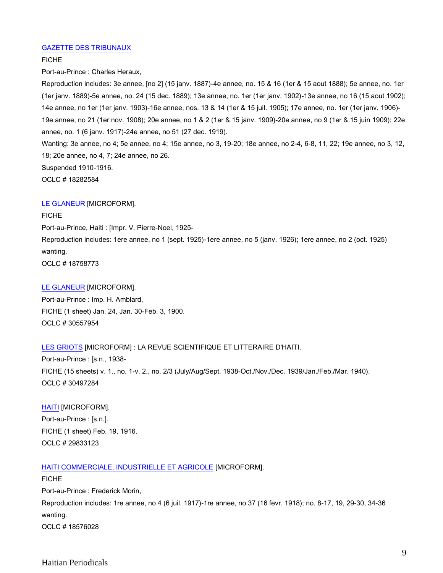## [GAZETTE DES TRIBUNAUX](http://catalog.crl.edu/record=b1083913~S1)

## FICHE

Port-au-Prince : Charles Heraux,

Reproduction includes: 3e annee, [no 2] (15 janv. 1887)-4e annee, no. 15 & 16 (1er & 15 aout 1888); 5e annee, no. 1er (1er janv. 1889)-5e annee, no. 24 (15 dec. 1889); 13e annee, no. 1er (1er janv. 1902)-13e annee, no 16 (15 aout 1902); 14e annee, no 1er (1er janv. 1903)-16e annee, nos. 13 & 14 (1er & 15 juil. 1905); 17e annee, no. 1er (1er janv. 1906)- 19e annee, no 21 (1er nov. 1908); 20e annee, no 1 & 2 (1er & 15 janv. 1909)-20e annee, no 9 (1er & 15 juin 1909); 22e annee, no. 1 (6 janv. 1917)-24e annee, no 51 (27 dec. 1919).

Wanting: 3e annee, no 4; 5e annee, no 4; 15e annee, no 3, 19-20; 18e annee, no 2-4, 6-8, 11, 22; 19e annee, no 3, 12, 18; 20e annee, no 4, 7; 24e annee, no 26.

Suspended 1910-1916.

OCLC # 18282584

## [LE GLANEUR](http://catalog.crl.edu/record=b1099163~S1) [MICROFORM].

# **FICHE** Port-au-Prince, Haiti : [Impr. V. Pierre-Noel, 1925- Reproduction includes: 1ere annee, no 1 (sept. 1925)-1ere annee, no 5 (janv. 1926); 1ere annee, no 2 (oct. 1925) wanting. OCLC # 18758773

#### [LE GLANEUR](http://catalog.crl.edu/record=b1400385~S1) [MICROFORM].

Port-au-Prince : Imp. H. Amblard, FICHE (1 sheet) Jan. 24, Jan. 30-Feb. 3, 1900. OCLC # 30557954

# [LES GRIOTS](http://catalog.crl.edu/record=b1399811~S1) [MICROFORM] : LA REVUE SCIENTIFIQUE ET LITTERAIRE D'HAITI.

Port-au-Prince : [s.n., 1938- FICHE (15 sheets) v. 1., no. 1-v. 2., no. 2/3 (July/Aug/Sept. 1938-Oct./Nov./Dec. 1939/Jan./Feb./Mar. 1940). OCLC # 30497284

[HAITI](http://catalog.crl.edu/record=b1391864~S1) [MICROFORM]. Port-au-Prince : [s.n.]. FICHE (1 sheet) Feb. 19, 1916. OCLC # 29833123

# [HAITI COMMERCIALE, INDUSTRIELLE ET AGRICOLE](http://catalog.crl.edu/record=b1096895~S1) [MICROFORM].

FICHE Port-au-Prince : Frederick Morin, Reproduction includes: 1re annee, no 4 (6 juil. 1917)-1re annee, no 37 (16 fevr. 1918); no. 8-17, 19, 29-30, 34-36 wanting. OCLC # 18576028

Haitian Periodicals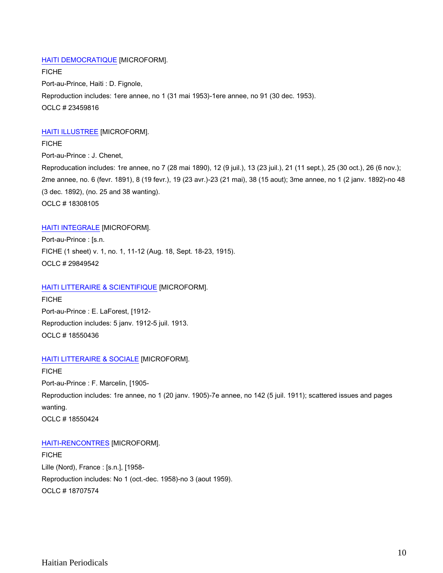# [HAITI DEMOCRATIQUE](http://catalog.crl.edu/record=b1145121~S1) [MICROFORM].

FICHE Port-au-Prince, Haiti : D. Fignole, Reproduction includes: 1ere annee, no 1 (31 mai 1953)-1ere annee, no 91 (30 dec. 1953). OCLC # 23459816

# [HAITI ILLUSTREE](http://catalog.crl.edu/record=b1082398~S1) [MICROFORM].

**FICHE** Port-au-Prince : J. Chenet, Reproducation includes: 1re annee, no 7 (28 mai 1890), 12 (9 juil.), 13 (23 juil.), 21 (11 sept.), 25 (30 oct.), 26 (6 nov.); 2me annee, no. 6 (fevr. 1891), 8 (19 fevr.), 19 (23 avr.)-23 (21 mai), 38 (15 aout); 3me annee, no 1 (2 janv. 1892)-no 48 (3 dec. 1892), (no. 25 and 38 wanting). OCLC # 18308105

# [HAITI INTEGRALE](http://catalog.crl.edu/record=b1391996~S1) [MICROFORM].

Port-au-Prince : [s.n. FICHE (1 sheet) v. 1, no. 1, 11-12 (Aug. 18, Sept. 18-23, 1915). OCLC # 29849542

# [HAITI LITTERAIRE & SCIENTIFIQUE](http://catalog.crl.edu/record=b1097405~S1) [MICROFORM].

FICHE Port-au-Prince : E. LaForest, [1912- Reproduction includes: 5 janv. 1912-5 juil. 1913. OCLC # 18550436

# [HAITI LITTERAIRE & SOCIALE](http://catalog.crl.edu/record=b1097404~S1) [MICROFORM].

FICHE Port-au-Prince : F. Marcelin, [1905- Reproduction includes: 1re annee, no 1 (20 janv. 1905)-7e annee, no 142 (5 juil. 1911); scattered issues and pages wanting. OCLC # 18550424

[HAITI-RENCONTRES](http://catalog.crl.edu/record=b1098568~S1) [MICROFORM].

FICHE Lille (Nord), France : [s.n.], [1958- Reproduction includes: No 1 (oct.-dec. 1958)-no 3 (aout 1959). OCLC # 18707574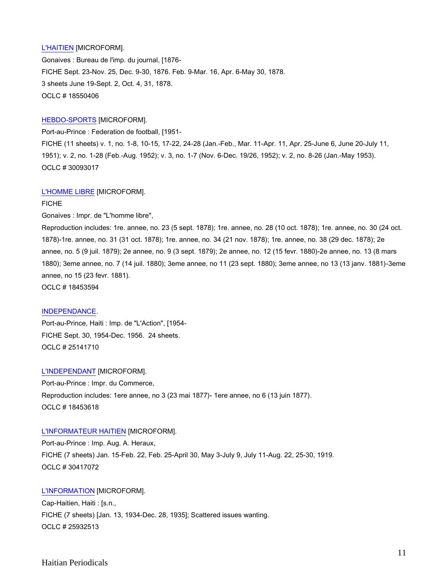# [L'HAITIEN](http://catalog.crl.edu/record=b1097403~S1) [MICROFORM].

Gonaives : Bureau de l'imp. du journal, [1876- FICHE Sept. 23-Nov. 25, Dec. 9-30, 1876. Feb. 9-Mar. 16, Apr. 6-May 30, 1878. 3 sheets June 19-Sept. 2, Oct. 4, 31, 1878. OCLC # 18550406

#### [HEBDO-SPORTS](http://catalog.crl.edu/record=b1395911~S1) [MICROFORM].

Port-au-Prince : Federation de football, [1951-

FICHE (11 sheets) v. 1, no. 1-8, 10-15, 17-22, 24-28 (Jan.-Feb., Mar. 11-Apr. 11, Apr. 25-June 6, June 20-July 11, 1951); v. 2, no. 1-28 (Feb.-Aug. 1952); v. 3, no. 1-7 (Nov. 6-Dec. 19/26, 1952); v. 2, no. 8-26 (Jan.-May 1953). OCLC # 30093017

#### [L'HOMME LIBRE](http://catalog.crl.edu/record=b1095108~S1) [MICROFORM].

FICHE

Gonaives : Impr. de "L'homme libre",

Reproduction includes: 1re. annee, no. 23 (5 sept. 1878); 1re. annee, no. 28 (10 oct. 1878); 1re. annee, no. 30 (24 oct. 1878)-1re. annee, no. 31 (31 oct. 1878); 1re. annee, no. 34 (21 nov. 1878); 1re. annee, no. 38 (29 dec. 1878); 2e annee, no. 5 (9 juil. 1879); 2e annee, no. 9 (3 sept. 1879); 2e annee, no. 12 (15 fevr. 1880)-2e annee, no. 13 (8 mars 1880); 3eme annee, no. 7 (14 juil. 1880); 3eme annee, no 11 (23 sept. 1880); 3eme annee, no 13 (13 janv. 1881)-3eme annee, no 15 (23 fevr. 1881).

OCLC # 18453594

#### [INDEPENDANCE.](http://catalog.crl.edu/record=b1155208~S1)

Port-au-Prince, Haiti : Imp. de "L'Action", [1954- FICHE Sept. 30, 1954-Dec. 1956. 24 sheets. OCLC # 25141710

## [L'INDEPENDANT](http://catalog.crl.edu/record=b1095112~S1) [MICROFORM].

Port-au-Prince : Impr. du Commerce, Reproduction includes: 1ere annee, no 3 (23 mai 1877)- 1ere annee, no 6 (13 juin 1877). OCLC # 18453618

#### [L'INFORMATEUR HAITIEN](http://catalog.crl.edu/record=b1398856~S1) [MICROFORM].

Port-au-Prince : Imp. Aug. A. Heraux, FICHE (7 sheets) Jan. 15-Feb. 22, Feb. 25-April 30, May 3-July 9, July 11-Aug. 22, 25-30, 1919. OCLC # 30417072

#### [L'INFORMATION](http://catalog.crl.edu/record=b1164808~S1) [MICROFORM].

Cap-Haitien, Haiti : [s.n., FICHE (7 sheets) [Jan. 13, 1934-Dec. 28, 1935]; Scattered issues wanting. OCLC # 25932513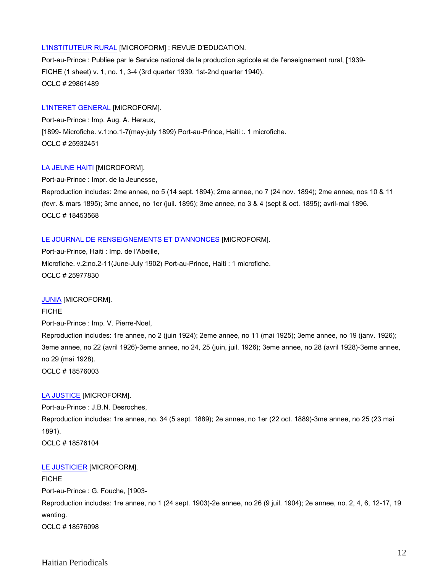## [L'INSTITUTEUR RURAL](http://catalog.crl.edu/record=b1392203~S1) [MICROFORM] : REVUE D'EDUCATION.

Port-au-Prince : Publiee par le Service national de la production agricole et de l'enseignement rural, [1939- FICHE (1 sheet) v. 1, no. 1, 3-4 (3rd quarter 1939, 1st-2nd quarter 1940). OCLC # 29861489

## [L'INTERET GENERAL](http://catalog.crl.edu/record=b1164804~S1) [MICROFORM].

Port-au-Prince : Imp. Aug. A. Heraux, [1899- Microfiche. v.1:no.1-7(may-july 1899) Port-au-Prince, Haiti :. 1 microfiche. OCLC # 25932451

## [LA JEUNE HAITI](http://catalog.crl.edu/record=b1095106~S1) [MICROFORM].

Port-au-Prince : Impr. de la Jeunesse,

Reproduction includes: 2me annee, no 5 (14 sept. 1894); 2me annee, no 7 (24 nov. 1894); 2me annee, nos 10 & 11 (fevr. & mars 1895); 3me annee, no 1er (juil. 1895); 3me annee, no 3 & 4 (sept & oct. 1895); avril-mai 1896. OCLC # 18453568

## [LE JOURNAL DE RENSEIGNEMENTS ET D'ANNONCES](http://catalog.crl.edu/record=b1164815~S1) [MICROFORM].

Port-au-Prince, Haiti : Imp. de l'Abeille, Microfiche. v.2:no.2-11(June-July 1902) Port-au-Prince, Haiti : 1 microfiche. OCLC # 25977830

#### [JUNIA](http://catalog.crl.edu/record=b1096894~S1) [MICROFORM].

FICHE Port-au-Prince : Imp. V. Pierre-Noel, Reproduction includes: 1re annee, no 2 (juin 1924); 2eme annee, no 11 (mai 1925); 3eme annee, no 19 (janv. 1926); 3eme annee, no 22 (avril 1926)-3eme annee, no 24, 25 (juin, juil. 1926); 3eme annee, no 28 (avril 1928)-3eme annee, no 29 (mai 1928). OCLC # 18576003

#### [LA JUSTICE](http://catalog.crl.edu/record=b1096902~S1) [MICROFORM].

Port-au-Prince : J.B.N. Desroches, Reproduction includes: 1re annee, no. 34 (5 sept. 1889); 2e annee, no 1er (22 oct. 1889)-3me annee, no 25 (23 mai 1891). OCLC # 18576104

#### [LE JUSTICIER](http://catalog.crl.edu/record=b1096901~S1) [MICROFORM].

**FICHE** Port-au-Prince : G. Fouche, [1903- Reproduction includes: 1re annee, no 1 (24 sept. 1903)-2e annee, no 26 (9 juil. 1904); 2e annee, no. 2, 4, 6, 12-17, 19 wanting. OCLC # 18576098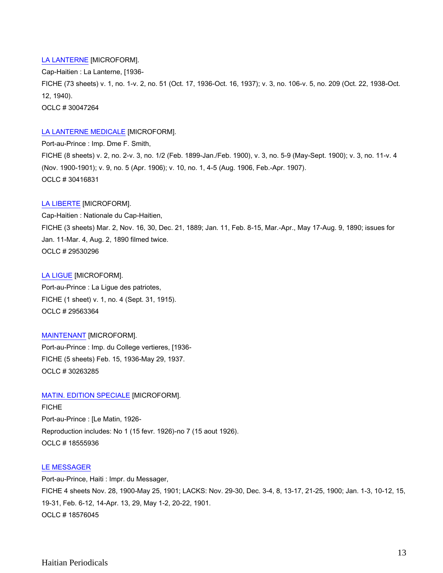# [LA LANTERNE](http://catalog.crl.edu/record=b1395268~S1) [MICROFORM].

Cap-Haitien : La Lanterne, [1936- FICHE (73 sheets) v. 1, no. 1-v. 2, no. 51 (Oct. 17, 1936-Oct. 16, 1937); v. 3, no. 106-v. 5, no. 209 (Oct. 22, 1938-Oct. 12, 1940). OCLC # 30047264

# [LA LANTERNE MEDICALE](http://catalog.crl.edu/record=b1398830~S1) [MICROFORM].

Port-au-Prince : Imp. Dme F. Smith, FICHE (8 sheets) v. 2, no. 2-v. 3, no. 1/2 (Feb. 1899-Jan./Feb. 1900), v. 3, no. 5-9 (May-Sept. 1900); v. 3, no. 11-v. 4 (Nov. 1900-1901); v. 9, no. 5 (Apr. 1906); v. 10, no. 1, 4-5 (Aug. 1906, Feb.-Apr. 1907). OCLC # 30416831

# [LA LIBERTE](http://catalog.crl.edu/record=b1387157~S1) [MICROFORM].

Cap-Haitien : Nationale du Cap-Haitien, FICHE (3 sheets) Mar. 2, Nov. 16, 30, Dec. 21, 1889; Jan. 11, Feb. 8-15, Mar.-Apr., May 17-Aug. 9, 1890; issues for Jan. 11-Mar. 4, Aug. 2, 1890 filmed twice. OCLC # 29530296

## [LA LIGUE](http://catalog.crl.edu/record=b1387964~S1) [MICROFORM].

Port-au-Prince : La Ligue des patriotes, FICHE (1 sheet) v. 1, no. 4 (Sept. 31, 1915). OCLC # 29563364

# [MAINTENANT](http://catalog.crl.edu/record=b1397114~S1) [MICROFORM].

Port-au-Prince : Imp. du College vertieres, [1936- FICHE (5 sheets) Feb. 15, 1936-May 29, 1937. OCLC # 30263285

# [MATIN. EDITION SPECIALE](http://catalog.crl.edu/record=b1097457~S1) [MICROFORM].

FICHE Port-au-Prince : [Le Matin, 1926- Reproduction includes: No 1 (15 fevr. 1926)-no 7 (15 aout 1926). OCLC # 18555936

# [LE MESSAGER](http://catalog.crl.edu/record=b1096896~S1)

Port-au-Prince, Haiti : Impr. du Messager, FICHE 4 sheets Nov. 28, 1900-May 25, 1901; LACKS: Nov. 29-30, Dec. 3-4, 8, 13-17, 21-25, 1900; Jan. 1-3, 10-12, 15, 19-31, Feb. 6-12, 14-Apr. 13, 29, May 1-2, 20-22, 1901. OCLC # 18576045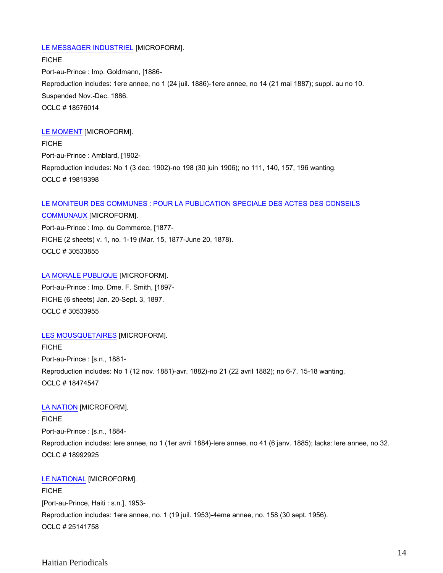## [LE MESSAGER INDUSTRIEL](http://catalog.crl.edu/record=b1096893~S1) [MICROFORM].

FICHE Port-au-Prince : Imp. Goldmann, [1886- Reproduction includes: 1ere annee, no 1 (24 juil. 1886)-1ere annee, no 14 (21 mai 1887); suppl. au no 10. Suspended Nov.-Dec. 1886. OCLC # 18576014

## [LE MOMENT](http://catalog.crl.edu/record=b1103304~S1) [MICROFORM].

**FICHE** Port-au-Prince : Amblard, [1902- Reproduction includes: No 1 (3 dec. 1902)-no 198 (30 juin 1906); no 111, 140, 157, 196 wanting. OCLC # 19819398

# [LE MONITEUR DES COMMUNES : POUR LA PUBLICATION SPECIALE DES ACTES DES CONSEILS](http://catalog.crl.edu/record=b1400190~S1)

[COMMUNAUX](http://catalog.crl.edu/record=b1400190~S1) [MICROFORM]. Port-au-Prince : Imp. du Commerce, [1877- FICHE (2 sheets) v. 1, no. 1-19 (Mar. 15, 1877-June 20, 1878). OCLC # 30533855

[LA MORALE PUBLIQUE](http://catalog.crl.edu/record=b1400195~S1) [MICROFORM]. Port-au-Prince : Imp. Dme. F. Smith, [1897- FICHE (6 sheets) Jan. 20-Sept. 3, 1897. OCLC # 30533955

# [LES MOUSQUETAIRES](http://catalog.crl.edu/record=b1096421~S1) [MICROFORM].

FICHE Port-au-Prince : [s.n., 1881- Reproduction includes: No 1 (12 nov. 1881)-avr. 1882)-no 21 (22 avril 1882); no 6-7, 15-18 wanting. OCLC # 18474547

#### [LA NATION](http://catalog.crl.edu/record=b1101502~S1) [MICROFORM].

FICHE Port-au-Prince : [s.n., 1884- Reproduction includes: lere annee, no 1 (1er avril 1884)-lere annee, no 41 (6 janv. 1885); lacks: lere annee, no 32. OCLC # 18992925

#### [LE NATIONAL](http://catalog.crl.edu/record=b1155213~S1) [MICROFORM].

**FICHE** [Port-au-Prince, Haiti : s.n.], 1953- Reproduction includes: 1ere annee, no. 1 (19 juil. 1953)-4eme annee, no. 158 (30 sept. 1956). OCLC # 25141758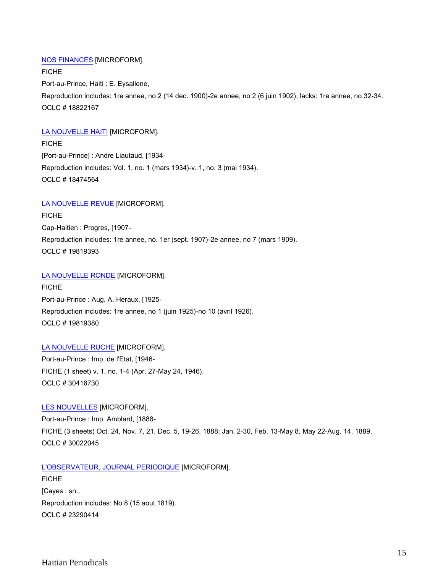## [NOS FINANCES](http://catalog.crl.edu/record=b1100557~S1) [MICROFORM].

FICHE Port-au-Prince, Haiti : E. Eysallene, Reproduction includes: 1re annee, no 2 (14 dec. 1900)-2e annee, no 2 (6 juin 1902); lacks: 1re annee, no 32-34. OCLC # 18822167

#### [LA NOUVELLE HAITI](http://catalog.crl.edu/record=b1096422~S1) [MICROFORM].

**FICHE** [Port-au-Prince] : Andre Liautaud, [1934- Reproduction includes: Vol. 1, no. 1 (mars 1934)-v. 1, no. 3 (mai 1934). OCLC # 18474564

## [LA NOUVELLE REVUE](http://catalog.crl.edu/record=b1103303~S1) [MICROFORM].

FICHE Cap-Haitien : Progres, [1907- Reproduction includes: 1re annee, no. 1er (sept. 1907)-2e annee, no 7 (mars 1909). OCLC # 19819393

## [LA NOUVELLE RONDE](http://catalog.crl.edu/record=b1103301~S1) [MICROFORM].

FICHE Port-au-Prince : Aug. A. Heraux, [1925- Reproduction includes: 1re annee, no 1 (juin 1925)-no 10 (avril 1926). OCLC # 19819380

## [LA NOUVELLE RUCHE](http://catalog.crl.edu/record=b1398819~S1) [MICROFORM].

Port-au-Prince : Imp. de l'Etat, [1946- FICHE (1 sheet) v. 1, no. 1-4 (Apr. 27-May 24, 1946). OCLC # 30416730

#### [LES NOUVELLES](http://catalog.crl.edu/record=b1395019~S1) [MICROFORM].

Port-au-Prince : Imp. Amblard, [1888- FICHE (3 sheets) Oct. 24, Nov. 7, 21, Dec. 5, 19-26, 1888; Jan. 2-30, Feb. 13-May 8, May 22-Aug. 14, 1889. OCLC # 30022045

# [L'OBSERVATEUR, JOURNAL PERIODIQUE](http://catalog.crl.edu/record=b1144948~S1) [MICROFORM].

**FICHE** [Cayes : sn., Reproduction includes: No 8 (15 aout 1819). OCLC # 23290414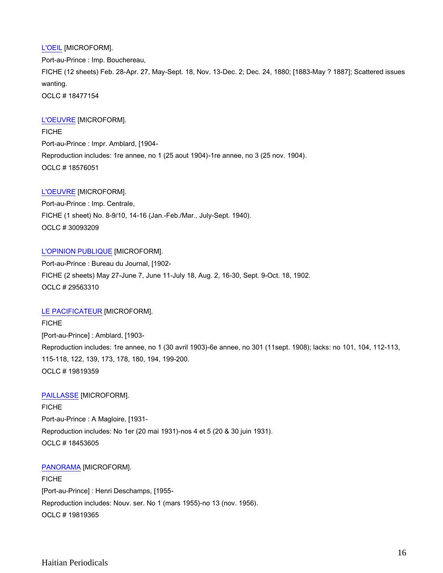[L'OEIL](http://catalog.crl.edu/record=b1096499~S1) [MICROFORM]. Port-au-Prince : Imp. Bouchereau, FICHE (12 sheets) Feb. 28-Apr. 27, May-Sept. 18, Nov. 13-Dec. 2; Dec. 24, 1880; [1883-May ? 1887]; Scattered issues wanting. OCLC # 18477154

# [L'OEUVRE](http://catalog.crl.edu/record=b1096898~S1) [MICROFORM].

FICHE Port-au-Prince : Impr. Amblard, [1904- Reproduction includes: 1re annee, no 1 (25 aout 1904)-1re annee, no 3 (25 nov. 1904). OCLC # 18576051

## [L'OEUVRE](http://catalog.crl.edu/record=b1395919~S1) [MICROFORM].

Port-au-Prince : Imp. Centrale, FICHE (1 sheet) No. 8-9/10, 14-16 (Jan.-Feb./Mar., July-Sept. 1940). OCLC # 30093209

## [L'OPINION PUBLIQUE](http://catalog.crl.edu/record=b1387948~S1) [MICROFORM].

Port-au-Prince : Bureau du Journal, [1902- FICHE (2 sheets) May 27-June 7, June 11-July 18, Aug. 2, 16-30, Sept. 9-Oct. 18, 1902. OCLC # 29563310

# [LE PACIFICATEUR](http://catalog.crl.edu/record=b1103299~S1) [MICROFORM].

**FICHE** [Port-au-Prince] : Amblard, [1903- Reproduction includes: 1re annee, no 1 (30 avril 1903)-6e annee, no 301 (11sept. 1908); lacks: no 101, 104, 112-113, 115-118, 122, 139, 173, 178, 180, 194, 199-200. OCLC # 19819359

# [PAILLASSE](http://catalog.crl.edu/record=b1095110~S1) [MICROFORM].

FICHE Port-au-Prince : A Magloire, [1931- Reproduction includes: No 1er (20 mai 1931)-nos 4 et 5 (20 & 30 juin 1931). OCLC # 18453605

## [PANORAMA](http://catalog.crl.edu/record=b1103300~S1) [MICROFORM].

FICHE [Port-au-Prince] : Henri Deschamps, [1955- Reproduction includes: Nouv. ser. No 1 (mars 1955)-no 13 (nov. 1956). OCLC # 19819365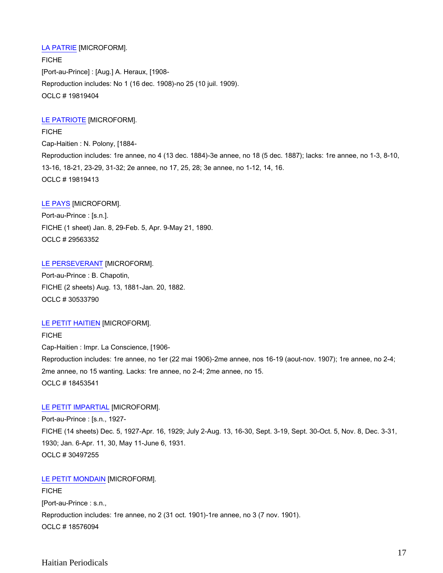# [LA PATRIE](http://catalog.crl.edu/record=b1103302~S1) [MICROFORM].

FICHE [Port-au-Prince] : [Aug.] A. Heraux, [1908- Reproduction includes: No 1 (16 dec. 1908)-no 25 (10 juil. 1909). OCLC # 19819404

# [LE PATRIOTE](http://catalog.crl.edu/record=b1103305~S1) [MICROFORM].

FICHE Cap-Haitien : N. Polony, [1884- Reproduction includes: 1re annee, no 4 (13 dec. 1884)-3e annee, no 18 (5 dec. 1887); lacks: 1re annee, no 1-3, 8-10, 13-16, 18-21, 23-29, 31-32; 2e annee, no 17, 25, 28; 3e annee, no 1-12, 14, 16. OCLC # 19819413

#### [LE PAYS](http://catalog.crl.edu/record=b1387961~S1) [MICROFORM].

Port-au-Prince : [s.n.]. FICHE (1 sheet) Jan. 8, 29-Feb. 5, Apr. 9-May 21, 1890. OCLC # 29563352

[LE PERSEVERANT](http://catalog.crl.edu/record=b1400184~S1) [MICROFORM]. Port-au-Prince : B. Chapotin, FICHE (2 sheets) Aug. 13, 1881-Jan. 20, 1882. OCLC # 30533790

# [LE PETIT HAITIEN](http://catalog.crl.edu/record=b1095104~S1) [MICROFORM].

FICHE Cap-Haitien : Impr. La Conscience, [1906- Reproduction includes: 1re annee, no 1er (22 mai 1906)-2me annee, nos 16-19 (aout-nov. 1907); 1re annee, no 2-4; 2me annee, no 15 wanting. Lacks: 1re annee, no 2-4; 2me annee, no 15. OCLC # 18453541

# [LE PETIT IMPARTIAL](http://catalog.crl.edu/record=b1399808~S1) [MICROFORM].

Port-au-Prince : [s.n., 1927- FICHE (14 sheets) Dec. 5, 1927-Apr. 16, 1929; July 2-Aug. 13, 16-30, Sept. 3-19, Sept. 30-Oct. 5, Nov. 8, Dec. 3-31, 1930; Jan. 6-Apr. 11, 30, May 11-June 6, 1931. OCLC # 30497255

# [LE PETIT MONDAIN](http://catalog.crl.edu/record=b1096899~S1) [MICROFORM].

**FICHE** [Port-au-Prince : s.n., Reproduction includes: 1re annee, no 2 (31 oct. 1901)-1re annee, no 3 (7 nov. 1901). OCLC # 18576094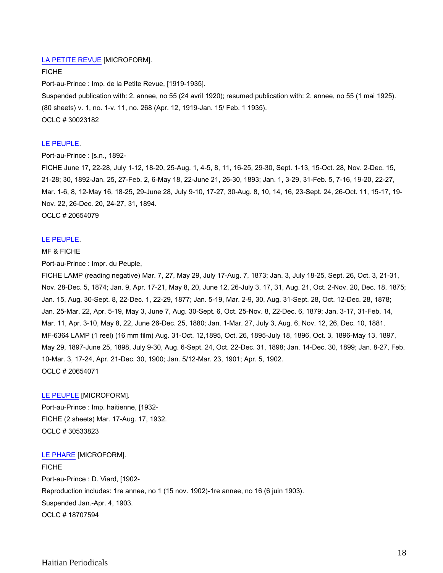# [LA PETITE REVUE](http://catalog.crl.edu/record=b1395023~S1) [MICROFORM].

FICHE

Port-au-Prince : Imp. de la Petite Revue, [1919-1935]. Suspended publication with: 2. annee, no 55 (24 avril 1920); resumed publication with: 2. annee, no 55 (1 mai 1925). (80 sheets) v. 1, no. 1-v. 11, no. 268 (Apr. 12, 1919-Jan. 15/ Feb. 1 1935). OCLC # 30023182

# [LE PEUPLE.](http://catalog.crl.edu/record=b1128744~S1)

Port-au-Prince : [s.n., 1892-

FICHE June 17, 22-28, July 1-12, 18-20, 25-Aug. 1, 4-5, 8, 11, 16-25, 29-30, Sept. 1-13, 15-Oct. 28, Nov. 2-Dec. 15, 21-28; 30, 1892-Jan. 25, 27-Feb. 2, 6-May 18, 22-June 21, 26-30, 1893; Jan. 1, 3-29, 31-Feb. 5, 7-16, 19-20, 22-27, Mar. 1-6, 8, 12-May 16, 18-25, 29-June 28, July 9-10, 17-27, 30-Aug. 8, 10, 14, 16, 23-Sept. 24, 26-Oct. 11, 15-17, 19- Nov. 22, 26-Dec. 20, 24-27, 31, 1894. OCLC # 20654079

#### [LE PEUPLE.](http://catalog.crl.edu/record=b1128746~S1)

#### MF & FICHE

Port-au-Prince : Impr. du Peuple,

FICHE LAMP (reading negative) Mar. 7, 27, May 29, July 17-Aug. 7, 1873; Jan. 3, July 18-25, Sept. 26, Oct. 3, 21-31, Nov. 28-Dec. 5, 1874; Jan. 9, Apr. 17-21, May 8, 20, June 12, 26-July 3, 17, 31, Aug. 21, Oct. 2-Nov. 20, Dec. 18, 1875; Jan. 15, Aug. 30-Sept. 8, 22-Dec. 1, 22-29, 1877; Jan. 5-19, Mar. 2-9, 30, Aug. 31-Sept. 28, Oct. 12-Dec. 28, 1878; Jan. 25-Mar. 22, Apr. 5-19, May 3, June 7, Aug. 30-Sept. 6, Oct. 25-Nov. 8, 22-Dec. 6, 1879; Jan. 3-17, 31-Feb. 14, Mar. 11, Apr. 3-10, May 8, 22, June 26-Dec. 25, 1880; Jan. 1-Mar. 27, July 3, Aug. 6, Nov. 12, 26, Dec. 10, 1881. MF-6364 LAMP (1 reel) (16 mm film) Aug. 31-Oct. 12,1895, Oct. 26, 1895-July 18, 1896, Oct. 3, 1896-May 13, 1897, May 29, 1897-June 25, 1898, July 9-30, Aug. 6-Sept. 24, Oct. 22-Dec. 31, 1898; Jan. 14-Dec. 30, 1899; Jan. 8-27, Feb. 10-Mar. 3, 17-24, Apr. 21-Dec. 30, 1900; Jan. 5/12-Mar. 23, 1901; Apr. 5, 1902. OCLC # 20654071

#### [LE PEUPLE](http://catalog.crl.edu/record=b1400187~S1) [MICROFORM].

Port-au-Prince : Imp. haitienne, [1932- FICHE (2 sheets) Mar. 17-Aug. 17, 1932. OCLC # 30533823

[LE PHARE](http://catalog.crl.edu/record=b1098570~S1) [MICROFORM].

**FICHE** Port-au-Prince : D. Viard, [1902- Reproduction includes: 1re annee, no 1 (15 nov. 1902)-1re annee, no 16 (6 juin 1903). Suspended Jan.-Apr. 4, 1903. OCLC # 18707594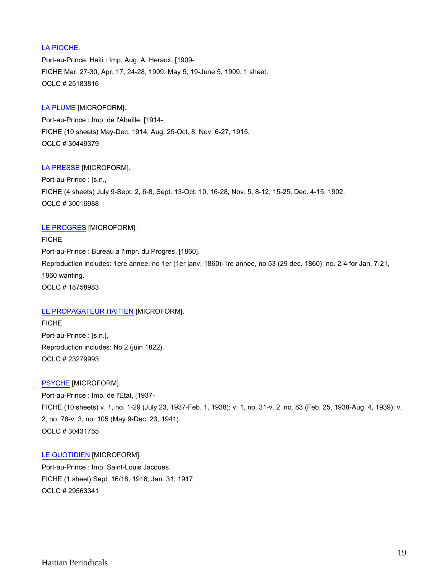# [LA PIOCHE.](http://catalog.crl.edu/record=b1155879~S1)

Port-au-Prince, Haiti : Imp. Aug. A. Heraux, [1909- FICHE Mar. 27-30, Apr. 17, 24-28, 1909. May 5, 19-June 5, 1909. 1 sheet. OCLC # 25183816

## [LA PLUME](http://catalog.crl.edu/record=b1399237~S1) [MICROFORM].

Port-au-Prince : Imp. de l'Abeille, [1914- FICHE (10 sheets) May-Dec. 1914; Aug. 25-Oct. 8, Nov. 6-27, 1915. OCLC # 30449379

## [LA PRESSE](http://catalog.crl.edu/record=b1394918~S1) [MICROFORM].

Port-au-Prince : [s.n., FICHE (4 sheets) July 9-Sept. 2, 6-8, Sept. 13-Oct. 10, 16-28, Nov. 5, 8-12, 15-25, Dec. 4-15, 1902. OCLC # 30016988

## [LE PROGRES](http://catalog.crl.edu/record=b1099173~S1) [MICROFORM].

FICHE Port-au-Prince : Bureau a l'impr. du Progres, [1860]. Reproduction includes: 1ere annee, no 1er (1er janv. 1860)-1re annee, no 53 (29 dec. 1860); no. 2-4 for Jan. 7-21, 1860 wanting. OCLC # 18758983

# [LE PROPAGATEUR HAITIEN](http://catalog.crl.edu/record=b1144910~S1) [MICROFORM].

FICHE Port-au-Prince : [s.n.], Reproduction includes: No 2 (juin 1822). OCLC # 23279993

# [PSYCHE](http://catalog.crl.edu/record=b1399010~S1) [MICROFORM].

Port-au-Prince : Imp. de l'Etat, [1937- FICHE (10 sheets) v. 1, no. 1-29 (July 23, 1937-Feb. 1, 1938); v. 1, no. 31-v. 2, no. 83 (Feb. 25, 1938-Aug. 4, 1939); v. 2, no. 78-v. 3, no. 105 (May 9-Dec. 23, 1941). OCLC # 30431755

#### [LE QUOTIDIEN](http://catalog.crl.edu/record=b1387952~S1) [MICROFORM].

Port-au-Prince : Imp. Saint-Louis Jacques, FICHE (1 sheet) Sept. 16/18, 1916; Jan. 31, 1917. OCLC # 29563341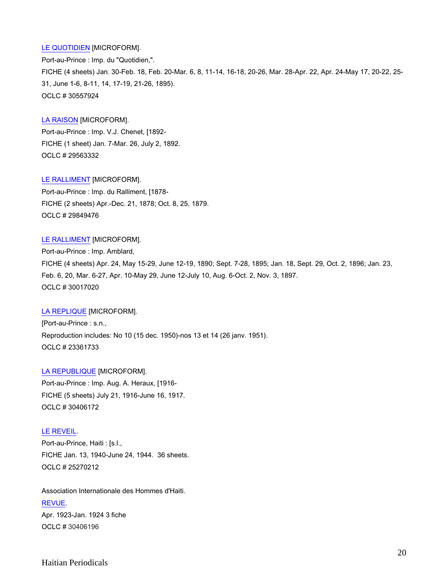## [LE QUOTIDIEN](http://catalog.crl.edu/record=b1400384~S1) [MICROFORM].

Port-au-Prince : Imp. du "Quotidien,". FICHE (4 sheets) Jan. 30-Feb. 18, Feb. 20-Mar. 6, 8, 11-14, 16-18, 20-26, Mar. 28-Apr. 22, Apr. 24-May 17, 20-22, 25- 31, June 1-6, 8-11, 14, 17-19, 21-26, 1895). OCLC # 30557924

## [LA RAISON](http://catalog.crl.edu/record=b1387951~S1) [MICROFORM].

Port-au-Prince : Imp. V.J. Chenet, [1892- FICHE (1 sheet) Jan. 7-Mar. 26, July 2, 1892. OCLC # 29563332

[LE RALLIMENT](http://catalog.crl.edu/record=b1391991~S1) [MICROFORM]. Port-au-Prince : Imp. du Ralliment, [1878- FICHE (2 sheets) Apr.-Dec. 21, 1878; Oct. 8, 25, 1879. OCLC # 29849476

## [LE RALLIMENT](http://catalog.crl.edu/record=b1394919~S1) [MICROFORM].

Port-au-Prince : Imp. Amblard, FICHE (4 sheets) Apr. 24, May 15-29, June 12-19, 1890; Sept. 7-28, 1895; Jan. 18, Sept. 29, Oct. 2, 1896; Jan. 23, Feb. 6, 20, Mar. 6-27, Apr. 10-May 29, June 12-July 10, Aug. 6-Oct. 2, Nov. 3, 1897. OCLC # 30017020

#### [LA REPLIQUE](http://catalog.crl.edu/record=b1145047~S1) [MICROFORM].

[Port-au-Prince : s.n., Reproduction includes: No 10 (15 dec. 1950)-nos 13 et 14 (26 janv. 1951). OCLC # 23361733

[LA REPUBLIQUE](http://catalog.crl.edu/record=b1398599~S1) [MICROFORM].

Port-au-Prince : Imp. Aug. A. Heraux, [1916- FICHE (5 sheets) July 21, 1916-June 16, 1917. OCLC # 30406172

# [LE REVEIL.](http://catalog.crl.edu/record=b1165277~S1)

Port-au-Prince, Haiti : [s.l., FICHE Jan. 13, 1940-June 24, 1944. 36 sheets. OCLC # 25270212

Association Internationale des Hommes d'Haiti. [REVUE.](http://catalog.crl.edu/record=b1398600~S1) Apr. 1923-Jan. 1924 3 fiche OCLC # 30406196

Haitian Periodicals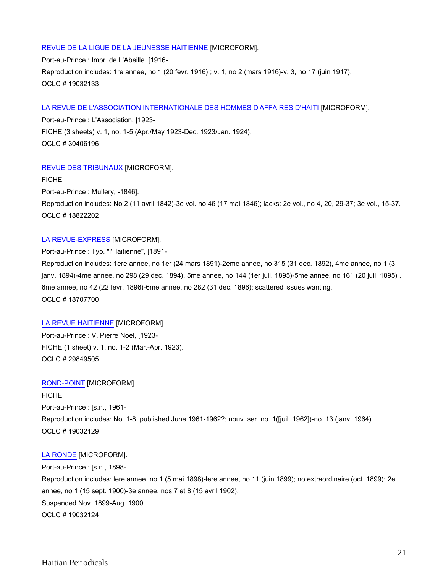# [REVUE DE LA LIGUE DE LA JEUNESSE HAITIENNE](http://catalog.crl.edu/record=b1101468~S1) [MICROFORM].

Port-au-Prince : Impr. de L'Abeille, [1916- Reproduction includes: 1re annee, no 1 (20 fevr. 1916) ; v. 1, no 2 (mars 1916)-v. 3, no 17 (juin 1917). OCLC # 19032133

# [LA REVUE DE L'ASSOCIATION INTERNATIONALE DES HOMMES D'AFFAIRES D'HAITI](http://catalog.crl.edu/record=b1398600~S1) [MICROFORM].

Port-au-Prince : L'Association, [1923- FICHE (3 sheets) v. 1, no. 1-5 (Apr./May 1923-Dec. 1923/Jan. 1924). OCLC # 30406196

# [REVUE DES TRIBUNAUX](http://catalog.crl.edu/record=b1100555~S1) [MICROFORM].

FICHE

Port-au-Prince : Mullery, -1846].

Reproduction includes: No 2 (11 avril 1842)-3e vol. no 46 (17 mai 1846); lacks: 2e vol., no 4, 20, 29-37; 3e vol., 15-37. OCLC # 18822202

# [LA REVUE-EXPRESS](http://catalog.crl.edu/record=b1098574~S1) [MICROFORM].

Port-au-Prince : Typ. "l'Haitienne", [1891-

Reproduction includes: 1ere annee, no 1er (24 mars 1891)-2eme annee, no 315 (31 dec. 1892), 4me annee, no 1 (3 janv. 1894)-4me annee, no 298 (29 dec. 1894), 5me annee, no 144 (1er juil. 1895)-5me annee, no 161 (20 juil. 1895) , 6me annee, no 42 (22 fevr. 1896)-6me annee, no 282 (31 dec. 1896); scattered issues wanting. OCLC # 18707700

# [LA REVUE HAITIENNE](http://catalog.crl.edu/record=b1391993~S1) [MICROFORM].

Port-au-Prince : V. Pierre Noel, [1923- FICHE (1 sheet) v. 1, no. 1-2 (Mar.-Apr. 1923). OCLC # 29849505

# [ROND-POINT](http://catalog.crl.edu/record=b1101467~S1) [MICROFORM].

FICHE Port-au-Prince : [s.n., 1961- Reproduction includes: No. 1-8, published June 1961-1962?; nouv. ser. no. 1([juil. 1962])-no. 13 (janv. 1964). OCLC # 19032129

# [LA RONDE](http://catalog.crl.edu/record=b1101466~S1) [MICROFORM].

Port-au-Prince : [s.n., 1898- Reproduction includes: lere annee, no 1 (5 mai 1898)-lere annee, no 11 (juin 1899); no extraordinaire (oct. 1899); 2e annee, no 1 (15 sept. 1900)-3e annee, nos 7 et 8 (15 avril 1902). Suspended Nov. 1899-Aug. 1900. OCLC # 19032124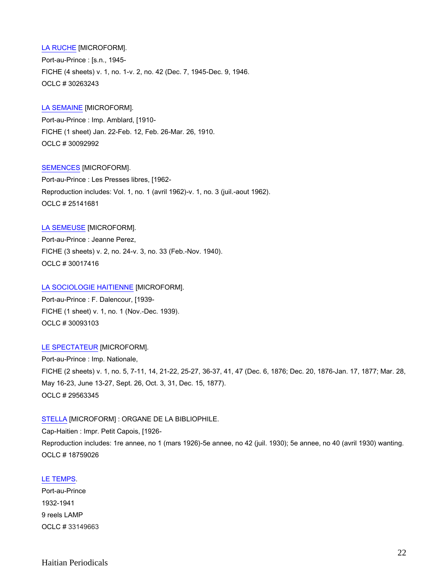[LA RUCHE](http://catalog.crl.edu/record=b1397113~S1) [MICROFORM]. Port-au-Prince : [s.n., 1945- FICHE (4 sheets) v. 1, no. 1-v. 2, no. 42 (Dec. 7, 1945-Dec. 9, 1946. OCLC # 30263243

## [LA SEMAINE](http://catalog.crl.edu/record=b1395908~S1) [MICROFORM].

Port-au-Prince : Imp. Amblard, [1910- FICHE (1 sheet) Jan. 22-Feb. 12, Feb. 26-Mar. 26, 1910. OCLC # 30092992

## [SEMENCES](http://catalog.crl.edu/record=b1155206~S1) [MICROFORM].

Port-au-Prince : Les Presses libres, [1962- Reproduction includes: Vol. 1, no. 1 (avril 1962)-v. 1, no. 3 (juil.-aout 1962). OCLC # 25141681

# [LA SEMEUSE](http://catalog.crl.edu/record=b1394933~S1) [MICROFORM].

Port-au-Prince : Jeanne Perez, FICHE (3 sheets) v. 2, no. 24-v. 3, no. 33 (Feb.-Nov. 1940). OCLC # 30017416

#### [LA SOCIOLOGIE HAITIENNE](http://catalog.crl.edu/record=b1395916~S1) [MICROFORM].

Port-au-Prince : F. Dalencour, [1939- FICHE (1 sheet) v. 1, no. 1 (Nov.-Dec. 1939). OCLC # 30093103

#### [LE SPECTATEUR](http://catalog.crl.edu/record=b1387954~S1) [MICROFORM].

Port-au-Prince : Imp. Nationale, FICHE (2 sheets) v. 1, no. 5, 7-11, 14, 21-22, 25-27, 36-37, 41, 47 (Dec. 6, 1876; Dec. 20, 1876-Jan. 17, 1877; Mar. 28, May 16-23, June 13-27, Sept. 26, Oct. 3, 31, Dec. 15, 1877). OCLC # 29563345

## [STELLA](http://catalog.crl.edu/record=b1099174~S1) [MICROFORM] : ORGANE DE LA BIBLIOPHILE.

Cap-Haitien : Impr. Petit Capois, [1926- Reproduction includes: 1re annee, no 1 (mars 1926)-5e annee, no 42 (juil. 1930); 5e annee, no 40 (avril 1930) wanting. OCLC # 18759026

#### [LE TEMPS.](http://catalog.crl.edu/record=b1447320~S1)

Port-au-Prince 1932-1941 9 reels LAMP OCLC # 33149663

# Haitian Periodicals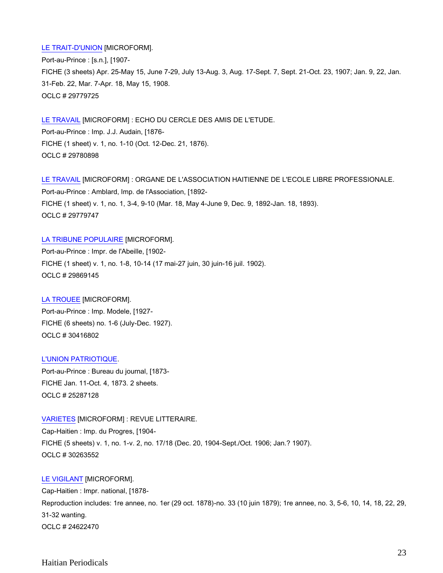## [LE TRAIT-D'UNION](http://catalog.crl.edu/record=b1391353~S1) [MICROFORM].

Port-au-Prince : [s.n.], [1907- FICHE (3 sheets) Apr. 25-May 15, June 7-29, July 13-Aug. 3, Aug. 17-Sept. 7, Sept. 21-Oct. 23, 1907; Jan. 9, 22, Jan. 31-Feb. 22, Mar. 7-Apr. 18, May 15, 1908. OCLC # 29779725

[LE TRAVAIL](http://catalog.crl.edu/record=b1391401~S1) [MICROFORM] : ECHO DU CERCLE DES AMIS DE L'ETUDE. Port-au-Prince : Imp. J.J. Audain, [1876- FICHE (1 sheet) v. 1, no. 1-10 (Oct. 12-Dec. 21, 1876). OCLC # 29780898

[LE TRAVAIL](http://catalog.crl.edu/record=b1391354~S1) [MICROFORM] : ORGANE DE L'ASSOCIATION HAITIENNE DE L'ECOLE LIBRE PROFESSIONALE. Port-au-Prince : Amblard, Imp. de l'Association, [1892- FICHE (1 sheet) v. 1, no. 1, 3-4, 9-10 (Mar. 18, May 4-June 9, Dec. 9, 1892-Jan. 18, 1893). OCLC # 29779747

[LA TRIBUNE POPULAIRE](http://catalog.crl.edu/record=b1392353~S1) [MICROFORM]. Port-au-Prince : Impr. de l'Abeille, [1902- FICHE (1 sheet) v. 1, no. 1-8, 10-14 (17 mai-27 juin, 30 juin-16 juil. 1902). OCLC # 29869145

[LA TROUEE](http://catalog.crl.edu/record=b1398828~S1) [MICROFORM]. Port-au-Prince : Imp. Modele, [1927- FICHE (6 sheets) no. 1-6 (July-Dec. 1927). OCLC # 30416802

#### [L'UNION PATRIOTIQUE.](http://catalog.crl.edu/record=b1164889~S1)

Port-au-Prince : Bureau du journal, [1873- FICHE Jan. 11-Oct. 4, 1873. 2 sheets. OCLC # 25287128

[VARIETES](http://catalog.crl.edu/record=b1397118~S1) [MICROFORM] : REVUE LITTERAIRE.

Cap-Haitien : Imp. du Progres, [1904- FICHE (5 sheets) v. 1, no. 1-v. 2, no. 17/18 (Dec. 20, 1904-Sept./Oct. 1906; Jan.? 1907). OCLC # 30263552

## [LE VIGILANT](http://catalog.crl.edu/record=b1162788~S1) [MICROFORM].

Cap-Haitien : Impr. national, [1878- Reproduction includes: 1re annee, no. 1er (29 oct. 1878)-no. 33 (10 juin 1879); 1re annee, no. 3, 5-6, 10, 14, 18, 22, 29, 31-32 wanting. OCLC # 24622470